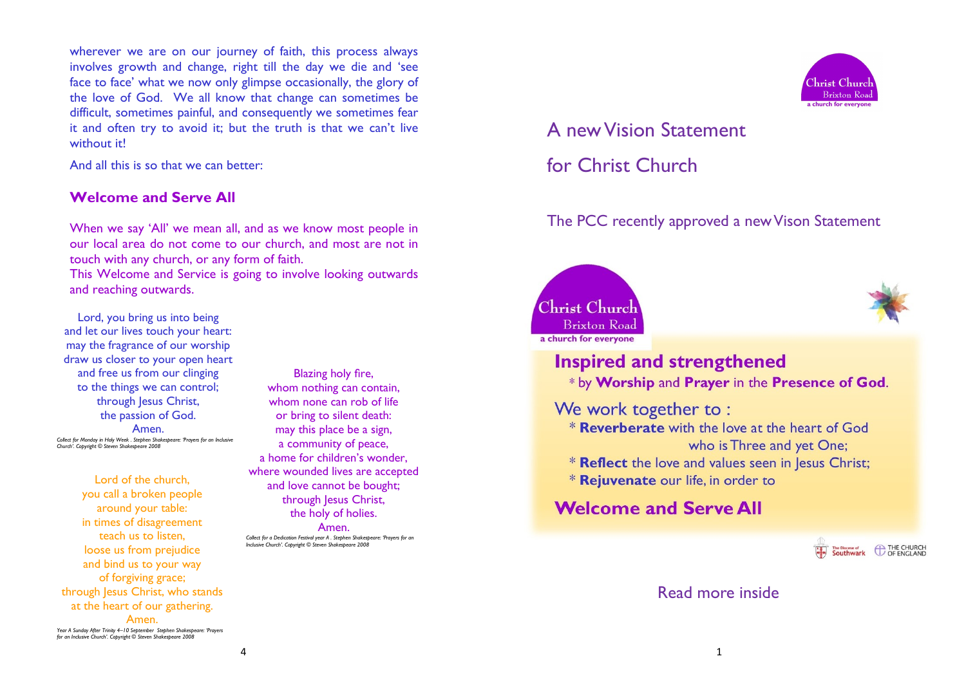wherever we are on our journey of faith, this process always involves growth and change, right till the day we die and 'see face to face' what we now only glimpse occasionally, the glory of the love of God. We all know that change can sometimes be difficult, sometimes painful, and consequently we sometimes fear it and often try to avoid it; but the truth is that we can't live without it!

And all this is so that we can better:

#### **Welcome and Serve All**

When we say 'All' we mean all, and as we know most people in our local area do not come to our church, and most are not in touch with any church, or any form of faith.

This Welcome and Service is going to involve looking outwards and reaching outwards.

Lord, you bring us into being and let our lives touch your heart: may the fragrance of our worship draw us closer to your open heart and free us from our clinging to the things we can control; through Jesus Christ, the passion of God.

Amen. *Collect for Monday in Holy Week . Stephen Shakespeare: 'Prayers for an Inclusive Church'. Copyright © Steven Shakespeare 2008*

Lord of the church, you call a broken people around your table: in times of disagreement teach us to listen, loose us from prejudice and bind us to your way of forgiving grace; through Jesus Christ, who stands at the heart of our gathering.

Amen. *Year A Sunday After Trinity 4–10 September Stephen Shakespeare: 'Prayers for an Inclusive Church'. Copyright © Steven Shakespeare 2008*

Blazing holy fire, whom nothing can contain, whom none can rob of life or bring to silent death: may this place be a sign, a community of peace, a home for children's wonder, where wounded lives are accepted and love cannot be bought; through Jesus Christ, the holy of holies.

Amen. *Collect for a Dedication Festival year A . Stephen Shakespeare: 'Prayers for an Inclusive Church'. Copyright © Steven Shakespeare 2008*



# A new Vision Statement for Christ Church

### The PCC recently approved a new Vison Statement





## **Inspired and strengthened**

\* by Worship and Prayer in the Presence of God.

We work together to:

- \* Reverberate with the love at the heart of God who is Three and yet One;
- \* Reflect the love and values seen in Jesus Christ;
- \* Rejuvenate our life, in order to

## **Welcome and Serve All**



#### Read more inside